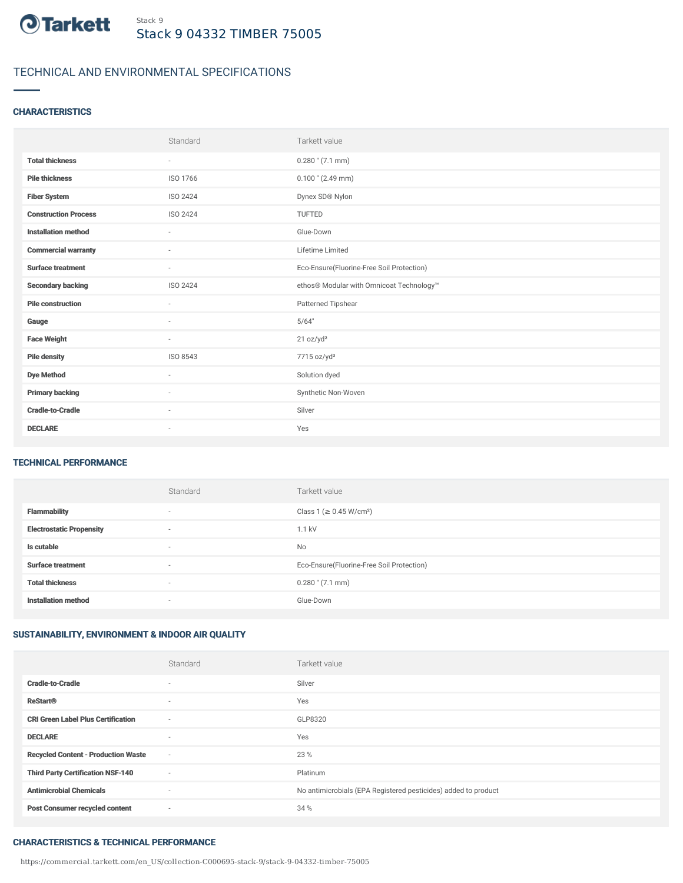

# TECHNICAL AND ENVIRONMENTAL SPECIFICATIONS

### **CHARACTERISTICS**

|                             | Standard                 | Tarkett value                             |
|-----------------------------|--------------------------|-------------------------------------------|
| <b>Total thickness</b>      | $\overline{\phantom{a}}$ | $0.280$ " $(7.1$ mm)                      |
| <b>Pile thickness</b>       | ISO 1766                 | $0.100$ " (2.49 mm)                       |
| <b>Fiber System</b>         | ISO 2424                 | Dynex SD® Nylon                           |
| <b>Construction Process</b> | <b>ISO 2424</b>          | <b>TUFTED</b>                             |
| <b>Installation method</b>  | $\overline{\phantom{a}}$ | Glue-Down                                 |
| <b>Commercial warranty</b>  | $\sim$                   | Lifetime Limited                          |
| <b>Surface treatment</b>    | $\sim$                   | Eco-Ensure(Fluorine-Free Soil Protection) |
| <b>Secondary backing</b>    | ISO 2424                 | ethos® Modular with Omnicoat Technology™  |
| <b>Pile construction</b>    | ٠                        | Patterned Tipshear                        |
| Gauge                       | $\sim$                   | 5/64"                                     |
| <b>Face Weight</b>          | $\overline{\phantom{a}}$ | 21 oz/yd <sup>2</sup>                     |
| <b>Pile density</b>         | ISO 8543                 | 7715 oz/yd <sup>3</sup>                   |
| <b>Dye Method</b>           | ٠                        | Solution dyed                             |
| <b>Primary backing</b>      | $\sim$                   | Synthetic Non-Woven                       |
| <b>Cradle-to-Cradle</b>     | $\sim$                   | Silver                                    |
| <b>DECLARE</b>              | ٠                        | Yes                                       |

### TECHNICAL PERFORMANCE

|                                 | Standard                 | Tarkett value                             |
|---------------------------------|--------------------------|-------------------------------------------|
| <b>Flammability</b>             | $\overline{\phantom{a}}$ | Class 1 (≥ 0.45 W/cm <sup>2</sup> )       |
| <b>Electrostatic Propensity</b> | $\overline{\phantom{a}}$ | 1.1 kV                                    |
| Is cutable                      | $\overline{\phantom{a}}$ | <b>No</b>                                 |
| <b>Surface treatment</b>        | $\overline{\phantom{a}}$ | Eco-Ensure(Fluorine-Free Soil Protection) |
| <b>Total thickness</b>          | $\overline{\phantom{a}}$ | $0.280$ " $(7.1$ mm)                      |
| <b>Installation method</b>      | $\overline{\phantom{a}}$ | Glue-Down                                 |

## SUSTAINABILITY, ENVIRONMENT & INDOOR AIR QUALITY

|                                            | Standard                 | Tarkett value                                                  |
|--------------------------------------------|--------------------------|----------------------------------------------------------------|
| <b>Cradle-to-Cradle</b>                    | $\sim$                   | Silver                                                         |
| <b>ReStart®</b>                            | $\sim$                   | Yes                                                            |
| <b>CRI Green Label Plus Certification</b>  | $\sim$                   | GLP8320                                                        |
| <b>DECLARE</b>                             | $\sim$                   | Yes                                                            |
| <b>Recycled Content - Production Waste</b> | $\sim$                   | 23 %                                                           |
| <b>Third Party Certification NSF-140</b>   | $\sim$                   | Platinum                                                       |
| <b>Antimicrobial Chemicals</b>             | $\overline{\phantom{a}}$ | No antimicrobials (EPA Registered pesticides) added to product |
| <b>Post Consumer recycled content</b>      | $\overline{\phantom{a}}$ | 34 %                                                           |

#### CHARACTERISTICS & TECHNICAL PERFORMANCE